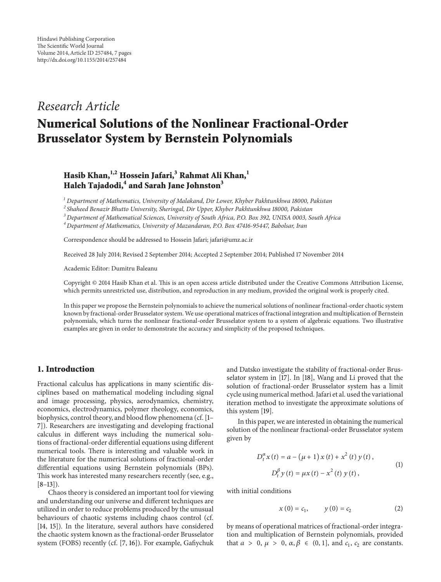# *Research Article*

# **Numerical Solutions of the Nonlinear Fractional-Order Brusselator System by Bernstein Polynomials**

# **Hasib Khan,1,2 Hossein Jafari,3 Rahmat Ali Khan,<sup>1</sup>** Haleh Tajadodi,<sup>4</sup> and Sarah Jane Johnston<sup>3</sup>

*<sup>1</sup> Department of Mathematics, University of Malakand, Dir Lower, Khyber Pakhtunkhwa 18000, Pakistan*

*<sup>2</sup> Shaheed Benazir Bhutto University, Sheringal, Dir Upper, Khyber Pakhtunkhwa 18000, Pakistan*

*<sup>3</sup> Department of Mathematical Sciences, University of South Africa, P.O. Box 392, UNISA 0003, South Africa*

*<sup>4</sup> Department of Mathematics, University of Mazandaran, P.O. Box 47416-95447, Babolsar, Iran*

Correspondence should be addressed to Hossein Jafari; jafari@umz.ac.ir

Received 28 July 2014; Revised 2 September 2014; Accepted 2 September 2014; Published 17 November 2014

Academic Editor: Dumitru Baleanu

Copyright © 2014 Hasib Khan et al. This is an open access article distributed under the Creative Commons Attribution License, which permits unrestricted use, distribution, and reproduction in any medium, provided the original work is properly cited.

In this paper we propose the Bernstein polynomials to achieve the numerical solutions of nonlinear fractional-order chaotic system known by fractional-order Brusselator system. We use operational matrices of fractional integration and multiplication of Bernstein polynomials, which turns the nonlinear fractional-order Brusselator system to a system of algebraic equations. Two illustrative examples are given in order to demonstrate the accuracy and simplicity of the proposed techniques.

## **1. Introduction**

Fractional calculus has applications in many scientific disciplines based on mathematical modeling including signal and image processing, physics, aerodynamics, chemistry, economics, electrodynamics, polymer rheology, economics, biophysics, control theory, and blood flow phenomena (cf. [1– 7]). Researchers are investigating and developing fractional calculus in different ways including the numerical solutions of fractional-order differential equations using different numerical tools. There is interesting and valuable work in the literature for the numerical solutions of fractional-order differential equations using Bernstein polynomials (BPs). This work has interested many researchers recently (see, e.g.,  $[8-13]$ .

Chaos theory is considered an important tool for viewing and understanding our universe and different techniques are utilized in order to reduce problems produced by the unusual behaviours of chaotic systems including chaos control (cf. [14, 15]). In the literature, several authors have considered the chaotic system known as the fractional-order Brusselator system (FOBS) recently (cf. [7, 16]). For example, Gafiychuk

and Datsko investigate the stability of fractional-order Brusselator system in [17]. In [18], Wang and Li proved that the solution of fractional-order Brusselator system has a limit cycle using numerical method. Jafari et al. used the variational iteration method to investigate the approximate solutions of this system [19].

In this paper, we are interested in obtaining the numerical solution of the nonlinear fractional-order Brusselator system given by aper, we are interested in obtaining the<br>
he nonlinear fractional-order Brussela<br>  $\int_{t}^{\alpha} x(t) = a - (\mu + 1) x(t) + x^2(t) y(t),$ 

$$
D_{t}^{\alpha} x(t) = a - (\mu + 1) x(t) + x^{2}(t) y(t),
$$
  
\n
$$
D_{t}^{\beta} y(t) = \mu x(t) - x^{2}(t) y(t),
$$
  
\n1 conditions  
\n
$$
x(0) = c_{1}, \qquad y(0) = c_{2}
$$
 (2)

with initial conditions

$$
y(t) = \mu x(t) - x^{2}(t) y(t),
$$
  
ons  

$$
x(0) = c_{1}, \qquad y(0) = c_{2}
$$
 (2)

by means of operational matrices of fractional-order integration and multiplication of Bernstein polynomials, provided  $x(0) = c_1,$   $y(0) = c_2$  (2)<br>by means of operational matrices of fractional-order integra-<br>tion and multiplication of Bernstein polynomials, provided<br>that  $a > 0, \mu > 0, \alpha, \beta \in (0, 1]$ , and  $c_1, c_2$  are constants.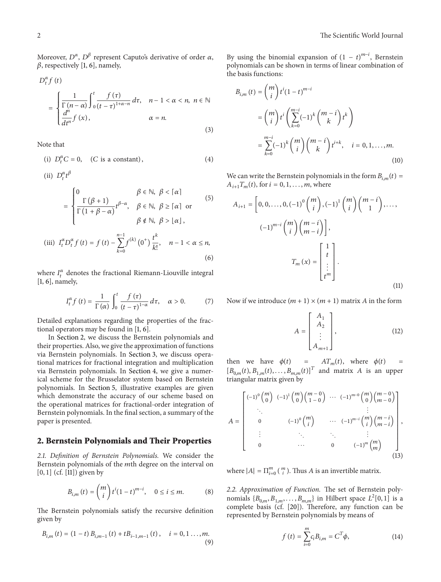2<br>Moreover,  $D^{\alpha}, D^{\beta}$  represent Caputo's derivative of order  $\alpha$ ,  ${L}$ ,  ${L}$ ,  ${L}$  represent<br>, respectively [1, 6], namely, oreove<br>respec  $\mathbf{c}$ 

$$
D_{t}^{\alpha} f(t)
$$
\n
$$
= \begin{cases}\n\frac{1}{\Gamma(n-\alpha)} \int_{0}^{t} \frac{f(\tau)}{(t-\tau)^{1+\alpha-n}} d\tau, & n-1 < \alpha < n, \ n \in \mathbb{N} \\
\frac{d^{n}}{dt^{n}} f(x), & \alpha = n.\n\end{cases}
$$
\n
$$
(3)
$$
\nNote that\n(i)  $D_{t}^{\alpha} C = 0$ ,  $(C \text{ is a constant})$ ,\n
$$
(4)
$$

Note that  $\overline{ }$ 

=

the that

\n(i) 
$$
D_t^{\alpha} C = 0
$$
, (C is a constant),

\n(ii)  $D_t^{\alpha} t^{\beta}$ 

(i) 
$$
D_t^{\alpha} C = 0
$$
, (C is a constant), (4)  
\n(ii)  $D_t^{\alpha} t^{\beta}$   
\n
$$
= \begin{cases}\n0 & \beta \in \mathbb{N}, \ \beta < [\alpha] \\
\frac{\Gamma(\beta + 1)}{\Gamma(1 + \beta - \alpha)} t^{\beta - \alpha}, & \beta \in \mathbb{N}, \ \beta \geq [\alpha] \text{ or } \\
\beta \notin \mathbb{N}, \ \beta > \lfloor \alpha \rfloor,\n\end{cases}
$$
\n(iii)  $I_t^{\alpha} D_t^{\alpha} f(t) = f(t) - \sum_{k=0}^{n-1} f^{(k)}(0^+) \frac{t^k}{k!}, \quad n - 1 < \alpha \leq n,$ \n(6)  
\nwhere  $I_t^{\alpha}$  denotes the fractional Riemann-Liouville integral

[1, 6], namely, denotes the 1<br>nely,<br> $I_t^{\alpha} f(t) = \frac{1}{\Gamma(t)}$  $\mathop{\mathrm{onal}}$  R iemann-Liouville integral<br>  $\frac{1}{1-\alpha}$  *dτ*, α > 0. (7)

denotes the fractional Riemann-Liouville integral  
ely,  

$$
I_t^{\alpha} f(t) = \frac{1}{\Gamma(\alpha)} \int_0^t \frac{f(\tau)}{(t-\tau)^{1-\alpha}} d\tau, \quad \alpha > 0.
$$
 (7)

Detailed explanations regarding the properties of the fractional operators may be found in [1, 6].

In Section 2, we discuss the Bernstein polynomials and their properties. Also, we give the approximation of functions via Bernstein polynomials. In Section 3, we discuss operational matrices for fractional integration and multiplication via Bernstein polynomials. In Section 4, we give a numerical scheme for the Brusselator system based on Bernstein polynomials. In Section 5, illustrative examples are given which demonstrate the accuracy of our scheme based on the operational matrices for fractional-order integration of Bernstein polynomials. In the final section, a summary of the paper is presented.

#### **2. Bernstein Polynomials and Their Properties**

2.1. Definition of Bernstein Polynomials. We consider the **2. Bernstein Polynomials and Their Properties**<br>2.1. Definition of Bernstein Polynomials. We consider the<br>Bernstein polynomials of the mth degree on the interval on  $[0, 1]$  (cf.  $[11]$ ) given by on of Berns<br>olynomials<br>() given by<br> $\lim_{t,m}(t) = \binom{m}{i}$ *nstein Polynomials.* We consider the *n*th degree on the *i*:<br>  $\binom{n}{i} t^{i} (1 + t)^{m-i} = 0 \le i \le m$ 

$$
B_{i,m}(t) = {m \choose i} t^{i} (1-t)^{m-i}, \quad 0 \le i \le m.
$$
 (8)

The Bernstein polynomials satisfy the recursive definition given by the Bernstein polynomials satisfy the recursive definition<br>
en by<br>  $_{i,m}(t) = (1-t) B_{i,m-1}(t) + t B_{i-1,m-1}(t), \quad i = 0, 1, ..., m.$ 

$$
B_{i,m}(t) = (1-t) B_{i,m-1}(t) + t B_{i-1,m-1}(t), \quad i = 0, 1, ..., m.
$$
\n(9)

By using the binomial expansion of  $(1 - t)^{m-i}$ , Bernstein<br>polynomials can be shown in terms of linear combination of<br>the basis functions:<br> $B_{i,m}(t) = \binom{m}{i} t^i (1-t)^{m-i}$ by using the binomial expansion of  $(1 - i)$ , beinstein polynomials can be shown in terms of linear combination of the basis functions:

$$
B_{i,m}(t) = {m \choose i} t^i (1-t)^{m-i}
$$
  
\n
$$
= {m \choose i} t^i \left( \sum_{k=0}^{m-i} (-1)^k {m-i \choose k} t^k \right)
$$
  
\n
$$
= \sum_{k=0}^{m-i} (-1)^k {m \choose i} {m-i \choose k} t^{i+k}, \quad i = 0, 1, ..., m.
$$
  
\n(10)  
\nWe can write the Bernstein polynomials in the form  $B_{i,m}(t) = A_{i+1}T_m(t)$ , for  $i = 0, 1, ..., m$ , where

can write the Bernstein poly<br>  $T_m(t)$ , for  $i = 0, 1, ..., m$ ,  $m$ ,  $n$ ,  $i_{i+1} = \left[0, 0, ..., 0, (-1)^0\right]_i^m$ <sup>1</sup> the form<br> $\frac{1}{2}$ )  $(m-i$ rm  $B_{i,m}(t)$ <br> $\begin{pmatrix} 1 \\ -i \\ 1 \end{pmatrix}$ ,...,

$$
A_{i+1} = \left[0, 0, \dots, 0, (-1)^0 \binom{m}{i}, (-1)^1 \binom{m}{i} \binom{m-i}{1}, \dots, (-1)^{m-i} \binom{m}{i} \binom{m-i}{m-i}\right],
$$
  

$$
(-1)^{m-i} \binom{m}{i} \binom{m-i}{m-i},
$$
  

$$
T_m(x) = \begin{bmatrix} 1 \\ t \\ \vdots \\ t^m \end{bmatrix}.
$$
  
Now if we introduce  $(m + 1) \times (m + 1)$  matrix A in the form

 $+1$ 

Now if we introduce 
$$
(m + 1) \times (m + 1)
$$
 matrix A in the form  
\n
$$
A = \begin{bmatrix} A_1 \\ A_2 \\ \vdots \\ A_{m+1} \end{bmatrix},
$$
\n(12)  
\nthen we have  $\phi(t) = AT_m(t)$ , where  $\phi(t) =$ 

en we have  $\phi(t) = AT_m(t)$ , where  $\phi(t) = \begin{cases} 1, & (12) \\ A_{m+1} \end{cases}$ <br>  $\phi_{0,m}(t), B_{1,m}(t), \ldots, B_{m,m}(t)$  and matrix A is an upper triangular matrix given by<br>triangular matrix given by

$$
A = \begin{bmatrix} (-1)^0 \binom{m}{0} & (-1)^1 \binom{m}{0} \binom{m-0}{1-0} & \cdots & (-1)^{m-0} \binom{m}{0} \binom{m-0}{m-0} \\ \vdots & \vdots & \ddots & \vdots \\ 0 & (-1)^0 \binom{m}{i} & \cdots & (-1)^{m-i} \binom{m}{i} \binom{m-i}{m-i} \\ \vdots & \ddots & \ddots & \vdots \\ 0 & \cdots & 0 & (-1)^m \binom{m}{m} \end{bmatrix},
$$
  
where  $|A| = \Pi_{i=0}^m \binom{m}{i}$ . Thus A is an invertible matrix. (13)

where  $|A| = \prod_{i=0}^{m} \binom{m}{i}$ . Thus *A* is an invertible matrix.<br>
2.2. Approximation of Function. The set of Bernstein polywhere  $|A| = \prod_{i=0}^{m} \binom{m}{i}$ . Thus *A* is an invertible matrix.<br>2.2. *Approximation of Function*. The set of Bernstein polynomials  $\{B_{0,m}, B_{1,m}, \ldots, B_{m,m}\}$  in Hilbert space  $L^2[0, 1]$  is a nomials { $D_{0,m}, D_{1,m}, \ldots, D_{m,n}$ } In Filbert space  $L$  [0, 1] is a<br>complete basis (cf. [20]). Therefore, any function can be<br>represented by Bernstein polynomials by means of<br> $f(t) = \sum_{i=1}^{m} c_i B_{i,m} = C^T \phi$ , (14) represented by Bernstein polynomials by means of

$$
f(t) = \sum_{i=0}^{m} c_i B_{i,m} = C^T \phi,
$$
 (14)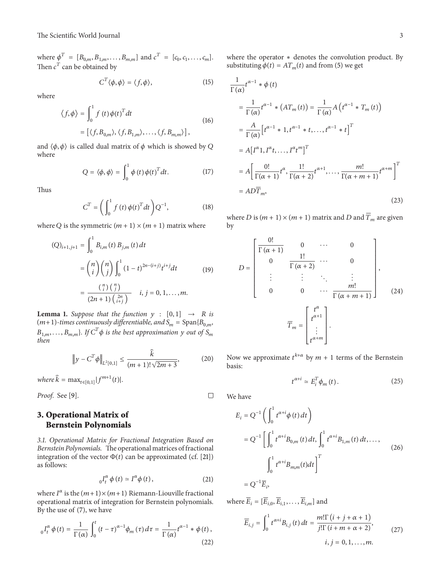The Scientific World Journal<br>where  $\phi^T = [B_{0,m}, B_{1,m}, \dots, B_{m,m}]$  and  $c^T = [c_0, c_1, \dots, c_m]$ . The Scientific World Journa<br>
where  $\phi^T = [B_{0,m}, B_{1,m}, \dots]$ <br>
Then  $c^T$  can be obtained by  $\{a_{1,m}, \ldots, B_{m,m}\}$  and  $\text{gcd}$  by

$$
C^{T} \langle \phi, \phi \rangle = \langle f, \phi \rangle,
$$
 (15)  

$$
f(t) \phi(t)^{T} dt
$$

where

$$
C^{T} \langle \phi, \phi \rangle = \langle f, \phi \rangle, \qquad (15)
$$
  
where  

$$
\langle f, \phi \rangle = \int_{0}^{1} f(t) \phi(t)^{T} dt \qquad (16)
$$

$$
= [\langle f, B_{0,m} \rangle, \langle f, B_{1,m} \rangle, \dots, \langle f, B_{m,m} \rangle],
$$
and  $\langle \phi, \phi \rangle$  is called dual matrix of  $\phi$  which is showed by Q

where lled dual matrix of  $\phi$  which is<br>  $Q = \langle \phi, \phi \rangle = \int_0^1 \phi(t) \phi(t)^T dt$ .

$$
Q = \langle \phi, \phi \rangle = \int_0^1 \phi(t) \phi(t)^T dt.
$$
 (17)  

$$
C^T = \left( \int_0^1 f(t) \phi(t)^T dt \right) O^{-1},
$$
 (18)

Thus

Thus  
\n
$$
C^{T} = \left(\int_{0}^{1} f(t) \phi(t)^{T} dt\right) Q^{-1},
$$
\n(18)  
\nwhere Q is the symmetric  $(m + 1) \times (m + 1)$  matrix where

$$
C = \left(\int_0^1 f(t)\varphi(t) dt\right)Q, \qquad (18)
$$
  
\ne Q is the symmetric  $(m + 1) \times (m + 1)$  matrix where  
\n
$$
(Q)_{i+1,j+1} = \int_0^1 B_{i,m}(t) B_{j,m}(t) dt
$$

$$
= {n \choose i} {n \choose j} \int_0^1 (1-t)^{2n-(i+j)} t^{i+j} dt \qquad (19)
$$

$$
= \frac{{n \choose i} {n \choose j}}{(2n+1) {2n \choose i+j}} \qquad i, j = 0, 1, ..., m.
$$
  
\n**na 1.** Suppose that the function  $y : [0, 1] \rightarrow R$  is  
\n1)-times continuously differentiable, and  $S_m = \text{Span}\{B_{0,m},$ 

**Lemma 1.** *Suppose that the function*  $y : [0,1] \rightarrow R$  *is* **(2n** + 1)  $\begin{pmatrix} 2n \\ i+j \end{pmatrix}$ <br> **emma 1.** Suppose that the function  $y : [0,1] \rightarrow R$  is<br>  $m+1$ -times continuously differentiable, and  $S_m = \text{Span}\{B_{0,m},$ <br>  $1,m, \ldots, B_{m,m}\}$ . If  $C^T \phi$  is the best approximation  $y$  out of  $S_m$ *then*  $\overline{s}$ иис<br>С<sup>Т</sup><br>Тл ..<br>)1 at the function  $y : [0,1] \rightarrow K$  is<br>  $s$ ly differentiable, and  $S_m = \text{Span}\{B_{0,m},\}$ <br>
is the best approximation  $y$  out of  $S_m$ <br>  $\frac{\hat{k}}{(m+1)! \sqrt{2m+3}}$ , (20)

then  
\n
$$
\|y - C^T \phi\|_{L^2[0,1]} \le \frac{\hat{k}}{(m+1)! \sqrt{2m+3}},
$$
\n(20)  
\nwhere  $\hat{k} = \max_{t \in [0,1]} |f^{m+1}(t)|$ .

*Proof.* See [9].

### **3. Operational Matrix of Bernstein Polynomials**

*3.1. Operational Matrix for Fractional Integration Based on Bernstein Polynomials.* The operational matrices of fractional **Bernstein Polynomials**<br>3.1. Operational Matrix for Fractional Integration Based on<br>Bernstein Polynomials. The operational matrices of fractional<br>integration of the vector  $\Phi(t)$  can be approximated (cf. [21]) as follows:  $\frac{1}{6}$ .<br> $\frac{1}{6}$ The operational matrices of fractional<br>
r  $\Phi(t)$  can be approximated (cf. [21])<br>
r  $\Phi'(t) \simeq I^{\alpha} \phi(t)$ , (21) integration of the vector  $\Phi(t)$  can be approximated (cf. [2I])<br>
as follows:<br>  ${}_{0}I_{t}^{\alpha} \phi(t) \simeq I^{\alpha} \phi(t)$ , (21)<br>
where  $I^{\alpha}$  is the  $(m+1) \times (m+1)$  Riemann-Liouville fractional

$$
{}_{0}I_{t}^{\alpha}\phi(t) \simeq I^{\alpha}\phi(t), \qquad (21)
$$

where  $I^{\alpha}$  is the  $(m+1) \times (m+1)$  Riemann-Liouville fractional<br>operational matrix of integration for Bernstein polynomials.<br>By the use of (7), we have<br> $I_t^{\alpha} \phi(t) = \frac{1}{\Gamma(\alpha)} \int_0^t (t-\tau)^{\alpha-1} \phi_m(\tau) d\tau = \frac{1}{\Gamma(\alpha)} t^{\alpha-1} * \phi(t$ By the use of (7), we have rh<br>pe<br>y ere  $I^{\alpha}$  is the  $(m+1) \times (m+1)$  Riemann-Liouvil<br>
erational matrix of integration for Bernstein p<br>
the use of (7), we have<br>  $\int_{t}^{\alpha} \phi(t) = \frac{1}{\Gamma(\alpha)} \int_{0}^{t} (t - \tau)^{\alpha-1} \phi_m(\tau) d\tau = \frac{1}{\Gamma(\alpha)} t$ 

$$
{}_{0}I_{t}^{\alpha}\phi(t)=\frac{1}{\Gamma(\alpha)}\int_{0}^{t}\left(t-\tau\right)^{\alpha-1}\phi_{m}\left(\tau\right)d\tau=\frac{1}{\Gamma(\alpha)}t^{\alpha-1}*\phi\left(t\right),\tag{22}
$$

where the operator <sup>∗</sup> denotes the convolution product. By Γwhere the operator  $*$  denotes the convolution<br>substituting  $\phi(t) = AT_m(t)$  and from (5) we get where the operat<br>
ubstituting  $\phi(t)$ <br>  $\frac{1}{\Gamma(\alpha)} t^{\alpha-1} * \phi(t)$ 

substituting 
$$
\varphi(t) = A I_m(t)
$$
 and from (5) we get  
\n
$$
\frac{1}{\Gamma(\alpha)} t^{\alpha-1} * \varphi(t)
$$
\n
$$
= \frac{1}{\Gamma(\alpha)} t^{\alpha-1} * (AT_m(t)) = \frac{1}{\Gamma(\alpha)} A (t^{\alpha-1} * T_m(t))
$$
\n
$$
= \frac{A}{\Gamma(\alpha)} [t^{\alpha-1} * 1, t^{\alpha-1} * t, ..., t^{\alpha-1} * t]^T
$$
\n
$$
= A [I^{\alpha} 1, I^{\alpha} t, ..., I^{\alpha} t^m]^T
$$
\n
$$
= A \left[ \frac{0!}{\Gamma(\alpha+1)} t^{\alpha}, \frac{1!}{\Gamma(\alpha+2)} t^{\alpha+1}, ..., \frac{m!}{\Gamma(\alpha+m+1)} t^{\alpha+m} \right]^T
$$
\n
$$
= AD\overline{T}_m,
$$
\n(23)  
\nwhere *D* is  $(m+1) \times (m+1)$  matrix and *D* and  $\overline{T}_m$  are given  
\nby

by  $(m+1) \times (m+1)$  matrix and D<br>  $\frac{0!}{\Gamma(\alpha+1)}$  0 ... 0 1! $\overline{n}$ 

by  
\nby  
\n
$$
D = \begin{bmatrix}\n\frac{0!}{\Gamma(\alpha + 1)} & 0 & \cdots & 0 \\
0 & \frac{1!}{\Gamma(\alpha + 2)} & \cdots & 0 \\
\vdots & \vdots & \ddots & \vdots \\
0 & 0 & \cdots & \frac{m!}{\Gamma(\alpha + m + 1)}\n\end{bmatrix},
$$
\n(24)  
\n
$$
\overline{T}_m = \begin{bmatrix} t^{\alpha} \\
t^{\alpha+1} \\
\vdots \\
t^{\alpha+m}\n\end{bmatrix}.
$$
\nNow we approximate  $t^{k+\alpha}$  by  $m + 1$  terms of the Bernstein

basis:  $e^{kt+\alpha}$  by  $m + 1$  terms of the Bernstein<br>  $e^{kt+\alpha} \approx E_i^T \phi_m(t)$ . (25)

$$
t^{\alpha+i} \simeq E_i^T \phi_m(t) \,. \tag{25}
$$

We have

 $\Box$ 

$$
t^{\alpha+i} \approx E_i^T \phi_m(t).
$$
 (25)  
We have  

$$
E_i = Q^{-1} \left( \int_0^1 t^{\alpha+i} \phi(t) dt \right)
$$

$$
= Q^{-1} \left[ \int_0^1 t^{\alpha+i} B_{0,m}(t) dt, \int_0^1 t^{\alpha+i} B_{1,m}(t) dt, ..., \int_0^1 t^{\alpha+i} B_{m,m}(t) dt \right]^T
$$

$$
= Q^{-1} \overline{E}_i,
$$
  
where  $\overline{E}_i = [\overline{E}_{i,0}, \overline{E}_{i,1}, ..., \overline{E}_{i,m}]$  and

Γ

$$
= Q^{-1} \overline{E}_i,
$$
  
\n
$$
\overline{E}_i = [\overline{E}_{i,0}, \overline{E}_{i,1}, \dots, \overline{E}_{i,m}] \text{ and}
$$
  
\n
$$
\overline{E}_{i,j} = \int_0^1 t^{\alpha + i} B_{i,j}(t) dt = \frac{m! \Gamma(i + j + \alpha + 1)}{j! \Gamma(i + m + \alpha + 2)},
$$
  
\n $i, j = 0, 1, \dots, m.$  (27)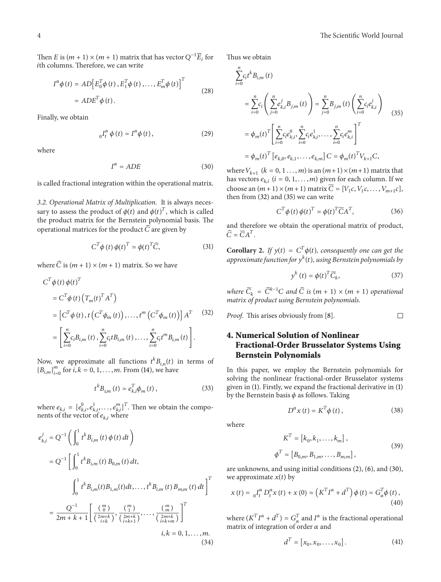Then  $E$  is  $(m + 1) \times (m + 1)$  matrix that has vector  $Q^{-1} \overline{E}_i$  for *E* is  $(m + 1) \times (m + 1)$  matrix that has vecto<br>lumns. Therefore, we can write<br> $I^{\alpha} \phi(t) = AD \Big[ E_0^T \phi(t), E_1^T \phi(t), \dots, E_m^T \phi(t) \Big]$ 

th columns. Therefore, we can write  
\n
$$
I^{\alpha}\phi(t) = AD \Big[ E_0^T \phi(t), E_1^T \phi(t), \dots, E_m^T \phi(t) \Big]^T
$$
\n
$$
= ADE^T \phi(t).
$$
\nFinally, we obtain  
\n
$$
{}_0I_t^{\alpha} \phi(t) \approx I^{\alpha} \phi(t), \qquad (29)
$$

Finally, we obtain

$$
{}_{0}I_{t}^{\alpha} \phi(t) \simeq I^{\alpha} \phi(t), \qquad (29)
$$
\n
$$
I^{\alpha} - \Delta D^{E} \qquad (30)
$$

where

$$
I^{\alpha} = ADE \tag{30}
$$

is called fractional integration within the operational matrix.

*3.2. Operational Matrix of Multiplication.* It is always necesis called fractional integration within the operational matrix.<br>3.2. Operational Matrix of Multiplication. It is always necessary to assess the product of  $\phi(t)$  and  $\phi(t)^T$ , which is called the product matrix for the Bernstein polynomial basis. The 3.2. Operational Matrix of Multiplication. It is alwe<br>sary to assess the product of  $\phi(t)$  and  $\phi(t)^T$ , which<br>the product matrix for the Bernstein polynomial l<br>operational matrices for the product  $\hat{C}$  are given by sary to assess the product of  $\phi(t)$  and  $\phi(t)^T$ , which is called oduct of  $\phi(t)$  and  $\phi(t)^T$ , which is called<br>for the Bernstein polynomial basis. The<br>for the product  $\widehat{C}$  are given by<br> $T \phi(t) \phi(t)^T \simeq \phi(t)^T \widehat{C}$ , (31) operational matrices for the product  $\widehat{C}$  are given<br> $C^T \phi(t) \phi(t)^T \simeq \phi(t)^T \widehat{C}$ ,<br>where  $\widehat{C}$  is  $(m + 1) \times (m + 1)$  matrix. So we have

$$
C^T \phi(t) \phi(t)^T \simeq \phi(t)^T \widehat{C}, \tag{31}
$$

ere  $\widehat{C}$  is  $(m)$ <br> $\frac{T}{\phi}(t)$   $\phi(t)$ 

where 
$$
\widehat{C}
$$
 is  $(m + 1) \times (m + 1)$  matrix. So we have  
\n
$$
C^T \phi(t) \phi(t)^T = C^T \phi(t) (T_m(t)^T A^T)
$$
\n
$$
= [C^T \phi(t), t (C^T \phi_m(t)), \dots, t^m (C^T \phi_m(t))] A^T
$$
\n
$$
= \left[ \sum_{i=0}^n c_i B_{i,m}(t), \sum_{i=0}^n c_i t B_{i,m}(t), \dots, \sum_{i=0}^n c_i t^m B_{i,m}(t) \right].
$$
\nNow, we approximate all functions  $t^k B_{i,n}(t)$  in terms of  $\{B_{i,m}\}_{i=0}^m$  for  $i, k = 0, 1, \dots, m$ . From (14), we have

nate all functions  $t^k B_{i,n}(t)$  in terms of<br>1,..., *m*. From (14), we have<br> $t^k B_{i,m}(t) \simeq e_{k,i}^T \phi_m(t)$ , (33) all func<br>.., *m*. Fro<br> $_{i,m}(t) \simeq e$ 

$$
t^{k} B_{i,m} (t) \approx e_{k,i}^{T} \phi_{m} (t),
$$
 (33)  

$$
\vdots
$$

$$
t^{k} B_{i,m} (t) \approx e_{k,i}^{T} \phi_{m} (t),
$$
 (33)

 ${}_{\{B_{i,m}\}_{i=0}}$  for  $i, \kappa = 0, 1, ..., m$ . From (14), we have<br>  $t^{k}B_{i,m}(t) \approx e_{k,i}^{T}\phi_{m}(t)$ , (33)<br>
where  $e_{k,i} = [e_{k,i}^{0}, e_{k,i}^{1}, ..., e_{k,i}^{m}]^{T}$ . Then we obtain the compo $t^k B_{i,m}(t) \approx$ <br>where  $e_{k,i} = [e_{k,i}^0, e_{k,i}^1, \dots, e_{k,i}^m]^T$ <br>nents of the vector of  $e_{k,i}$  where where  $e_{k,i} = [e_{k,i}^0, e_{k,i}^1, \dots, e_{k,i}^m]^T$ .<br>
nents of the vector of  $e_{k,i}$  where<br>  $e_{k,i}^j = Q^{-1} \left( \int_a^1 t^k B_{i,m}(t) \phi(t) dt \right)$ 

$$
e_{k,i}^{j} = Q^{-1} \left( \int_{0}^{1} t^{k} B_{i,m}(t) \phi(t) dt \right)
$$
  
\n
$$
= Q^{-1} \left[ \int_{0}^{1} t^{k} B_{i,m}(t) B_{0,m}(t) dt, \int_{0}^{1} t^{k} B_{i,m}(t) B_{1,m}(t) dt, \dots, t^{k} B_{i,m}(t) B_{m,m}(t) dt \right]^{T}
$$
  
\n
$$
= \frac{Q^{-1}}{2m + k + 1} \left[ \frac{\binom{m}{0}}{\binom{2m + k}{i + k + 1}}, \frac{\binom{m}{1}}{\binom{2m + k}{i + k + 1}}, \dots, \frac{\binom{m}{m}}{\binom{2m + k}{i + k + m}} \right]^{T}
$$
  
\n $i, k = 0, 1, \dots, m.$   
\n(34)

Thus we obtain

Thus we obtain  
\n
$$
\sum_{i=0}^{n} c_i t^k B_{i,m}(t)
$$
\n
$$
= \sum_{i=0}^{n} c_i \left( \sum_{j=0}^{n} e_{k,i}^j B_{j,m}(t) \right) = \sum_{j=0}^{n} B_{j,m}(t) \left( \sum_{i=0}^{n} c_i e_{k,i}^j \right)
$$
\n
$$
= \phi_m(t)^T \left[ \sum_{i=0}^{n} c_i e_{k,i}^0, \sum_{i=0}^{n} c_i e_{k,i}^1, \dots, \sum_{i=0}^{n} c_i e_{k,i}^m \right]^T
$$
\n
$$
= \phi_m(t)^T \left[ e_{k,0}, e_{k,1}, \dots, e_{k,m} \right] C = \phi_m(t)^T V_{k+1} C,
$$
\nwhere  $V_{k+1}$  ( $k = 0, 1, \dots, m$ ) is an  $(m+1) \times (m+1)$  matrix that  
\nhas vectors  $e_{k,i}$  ( $i = 0, 1, \dots, m$ ) given for each column. If we

=  $\phi_m(t)^T$  [ $e_{k,0}, e_{k,1}, \ldots, e_{k,m}$ ]  $C = \phi_m(t)^T V_{k+1} C$ ,<br>where  $V_{k+1}$  ( $k = 0, 1, \ldots, m$ ) is an  $(m+1) \times (m+1)$  matrix that<br>has vectors  $e_{k,i}$  ( $i = 0, 1, \ldots, m$ ) given for each column. If we<br>choose an  $(m+1) \times (m+1)$  matrix  $\$ then from (32) and (35) we can write has vectors  $e_{k,i}$   $(i = 0, 1, ..., m)$  given for each column. If we = 0, 1, ..., *m*) given for ea<br>  $\times$  (*m* + 1) matrix  $\overline{C}$  = [ $V_1 c$ ]<br>
(35) we can write

$$
C^T \phi(t) \phi(t)^T \simeq \phi(t)^T \overline{C} A^T, \qquad (36)
$$

then from (32) and (35) we can write<br>  $C^T \phi(t) \phi(t)^T \simeq \phi(t)^T \overline{C} A^T$ , (36)<br>
and therefore we obtain the operational matrix of product,<br>  $\widehat{C} = \overline{C} A^T$ . and therefore we obtain the operational matrix of products<br>  $\widehat{C} = \overline{C}A^T$ .<br> **Corollary 2.** If  $y(t) = C^T \phi(t)$ , consequently one can get the  $\mathbf{e}$ 

and therefore we obtain therefore we obtain the  $\widehat{C} = \overline{C}A^T$ .<br> **Corollary 2.** If  $y(t) = C^T$ <br> *approximate function for*  $y^k$ *approximate function for*  $y^k(t)$ , using Bernstein polynomials by  $C^T \phi(t)$ , consequently one can get the<br>
r y<sup>k</sup>(t), using Bernstein polynomials by<br>
<sup>k</sup> (t) =  $\phi(t)^T \widetilde{C}_k$ , (37)

$$
y^{k}(t) = \phi(t)^{T} \widetilde{C}_{k}, \qquad (37)
$$

*where*  $\widetilde{C}_k = \widehat{C}^{k-1}C$  *and*  $\widehat{C}$  *is*  $(m + 1) \times (m + 1)$  *operational matrix of product using Bernstein polynomials.*

*Proof.* This arises obviously from [8]. 
$$
\Box
$$

## **4. Numerical Solution of Nonlinear Fractional-Order Brusselator Systems Using Bernstein Polynomials**

In this paper, we employ the Bernstein polynomials for solving the nonlinear fractional-order Brusselator systems given in (1). Firstly, we expand the fractional derivative in (1) In this paper, we employ the Bernstein<br>solving the nonlinear fractional-order B<br>given in (1). Firstly, we expand the fraction<br>by the Bernstein basis  $\phi$  as follows. Taking Fractional-order Brusselator systems<br>
xpand the fractional derivative in (1)<br>
as follows. Taking<br>  $x(t) = K^T \phi(t)$ , (38)

$$
D^{\alpha} x(t) = K^T \phi(t),
$$
\n(38)

where

$$
D^{\alpha} x(t) = K^{T} \phi(t),
$$
 (38)  

$$
K^{T} = [k_{0}, k_{1},...,k_{m}],
$$

$$
\phi^{T} = [B_{0,m}, B_{1,m},...,B_{m,m}],
$$
 (39)

are unknowns, and using initial conditions (2), (6), and (30),  $\phi^T = [$ <br>are unknowns, and usin<br>we approximate  $x(t)$  by  $\varphi$  = [ $D_{0,m}, D_{1,m}, \ldots, D_{m,m}$ ],<br>
re unknowns, and using initial conditions (2), (6), and (30<br>
re approximate  $x(t)$  by<br>  $x(t) = {}_0I_t^{\alpha} D_t^{\alpha} x(t) + x(0) \approx (K^T I^{\alpha} + d^T) \phi(t) = G_{\alpha}^T \phi(t)$ ,

$$
x(t) = {}_0I_t^{\alpha} D_t^{\alpha} x(t) + x(0) \approx \left(K^T I^{\alpha} + d^T\right) \phi(t) = G_{\alpha}^T \phi(t),
$$
\n(40)  
\nwhere  $(K^T I^{\alpha} + d^T) = G_{\alpha}^T$  and  $I^{\alpha}$  is the fractional operational matrix of integration of order  $\alpha$  and

 $G_{\alpha}^{T}$  and  $I^{\alpha}$  is the fractional operational<br>of order  $\alpha$  and<br> $I^{T} = [x_0, x_0, \dots, x_0]$ . (41)

$$
d^{T} = [x_0, x_0, \dots, x_0]. \tag{41}
$$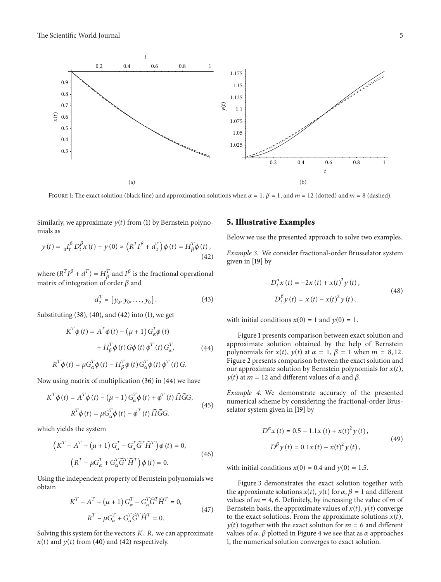

mials as imilarly, we approximate  $y(t)$  from (1) by Bernstein polyno<br>
ials as<br>  $y(t) = {}_0I_t^{\beta} D_t^{\beta} x(t) + y(0) \approx (R^T I^{\beta} + d_2^T) \phi(t) = H_{\beta}^T \phi(t)$ ,

$$
y(t) = {}_0I_t^{\beta} D_t^{\beta} x(t) + y(0) \approx \left( R^T I^{\beta} + d_2^T \right) \phi(t) = H_{\beta}^T \phi(t),
$$
\n(42)  
\nwhere  $(R^T I^{\beta} + d^T) = H_{\beta}^T$  and  $I^{\beta}$  is the fractional operational

 $y(t) = {}_0I_t^r D_t^r x(t) + y(0) \approx (R^r I^r)$ <br>where  $(R^T I^\beta + d^T) = H_\beta^T$  and  $I^\beta$  is t<br>matrix of integration of order  $\beta$  and =  $H_{\beta}^{T}$  and  $I^{\beta}$  is the fractional operational<br>n of order  $\beta$  and<br> $d_{2}^{T} = [y_0, y_0, \dots, y_0].$  (43)

$$
d_2^T = [y_0, y_0, \dots, y_0].
$$
 (43)

Substituting (38), (40), and (42) into (1), we get

$$
d_2^T = [y_0, y_0, \dots, y_0].
$$
\n(43)  
\n
$$
\text{estituting (38), (40), and (42) into (1), we get}
$$
\n
$$
K^T \phi(t) = A^T \phi(t) - (\mu + 1) G_\alpha^T \phi(t)
$$
\n
$$
+ H_\beta^T \phi(t) G\phi(t) \phi^T(t) G_\alpha^T,
$$
\n(44)  
\n
$$
R^T \phi(t) = \mu G_\alpha^T \phi(t) - H_\beta^T \phi(t) G_\alpha^T \phi(t) \phi^T(t) G.
$$
\nw using matrix of multiplication (36) in (44) we have

\n
$$
K^T \phi(t) = A^T \phi(t) - (\mu + 1) G^T \phi(t) + \phi^T(t) \widehat{H} \widehat{G} G.
$$

Now using matrix of multiplication (36) in (44) we have

$$
R^{T}\phi(t) = \mu G_{\alpha}^{T}\phi(t) - H_{\beta}^{T}\phi(t) G_{\alpha}^{T}\phi(t) \phi^{T}(t) G.
$$
  
\n*w* using matrix of multiplication (36) in (44) we have  
\n
$$
K^{T}\phi(t) = A^{T}\phi(t) - (\mu + 1) G_{\alpha}^{T}\phi(t) + \phi^{T}(t) \widehat{H}\widehat{G}G,
$$
\n
$$
R^{T}\phi(t) = \mu G_{\alpha}^{T}\phi(t) - \phi^{T}(t) \widehat{H}\widehat{G}G,
$$
\n*(45)*  
\n*(45)*  
\n*(46)*  
\n*(47)*  
\n*(47)*  
\n*(48)*  
\n*(49)*  
\n*(49)*  
\n*(45)*  
\n*(45)*  
\n*(49)*  
\n*(49)*  
\n*(49)*  
\n*(49)*  
\n*(49)*  
\n*(49)*  
\n*(49)*  
\n*(49)*  
\n*(49)*  
\n*(49)*  
\n*(49)*  
\n*(49)*  
\n*(49)*  
\n*(49)*  
\n*(49)*  
\n*(49)*  
\n*(49)*  
\n*(49)*  
\n*(49)*  
\n*(49)*  
\n*(49)*  
\n*(49)*  
\n*(49)*  
\n*(49)*  
\n*(49)*  
\n*(49)*  
\n*(49)*  
\n*(49)*  
\n*(49)*  
\n*(49)*  
\n*(49)*  
\n*(49)*  
\n*(49)*  
\n*(49)*  
\n*(49)*  
\n*(49)*  
\n*(49)*  
\n*(49)*  
\n*(49)*  
\n*(49)*  
\n*(49)*  
\n*(49)*  
\n*(49)*  
\n*(49)*  
\n*(49)*  
\n*(49)*  
\n*(49*

which yields the system

h yields the system  
\n
$$
\left(K^T - A^T + (\mu + 1) G^T_{\alpha} - G^T_{\alpha} \widehat{G}^T \widehat{H}^T \right) \phi(t) = 0,
$$
\n
$$
\left(R^T - \mu G^T_{\alpha} + G^T_{\alpha} \widehat{G}^T \widehat{H}^T \right) \phi(t) = 0.
$$
\n(46)

Using the independent property of Bernstein polynomials we obtain  $\kappa$  –  $\mu$ G<sub> $\alpha$ </sub> + G<sub> $\alpha$ </sub>G  $H$  )  $\varphi$  ( $t$ ) = 0.<br>
lependent property of Bernstein poly:<br>  $T - A^T + (\mu + 1) G_{\alpha}^T - G_{\alpha}^T \widehat{G}^T \widehat{H}^T = 0$ ,  $\ddot{\phantom{0}}$ 

Using the independent property of Bernstein polynomials we obtain  
\n
$$
K^{T} - A^{T} + (\mu + 1) G_{\alpha}^{T} - G_{\alpha}^{T} \widehat{G}^{T} \widehat{H}^{T} = 0,
$$
\n
$$
R^{T} - \mu G_{\alpha}^{T} + G_{\alpha}^{T} \widehat{G}^{T} \widehat{H}^{T} = 0.
$$
\nSolving this system for the vectors *K*, *R*, we can approximate

 $x(t)$  and  $y(t)$  from (40) and (42) respectively.

### **5. Illustrative Examples**

Below we use the presented approach to solve two examples.

*Example 3.* We consider fractional-order Brusselator system<br>given in [19] by<br> $D_t^{\alpha} x(t) = -2x(t) + x(t)^2 y(t)$ , given in [19] by

$$
D_{t}^{\alpha} x(t) = -2x(t) + x(t)^{2} y(t),
$$
  
\n
$$
D_{t}^{\beta} y(t) = x(t) - x(t)^{2} y(t),
$$
\n(48)

with initial conditions  $x(0) = 1$  and  $y(0) = 1$ .

Figure 1 presents comparison between exact solution and approximate solution obtained by the help of Bernstein with initial conditions  $x(0) = 1$  and  $y(0) = 1$ .<br>Figure 1 presents comparison between exact solution and<br>approximate solution obtained by the help of Bernstein<br>polynomials for  $x(t)$ ,  $y(t)$  at  $\alpha = 1$ ,  $\beta = 1$  when  $m = 8,$ Figure 2 presents comparison between the exact solution and Figure 1 presents comparison between exact solution and approximate solution obtained by the help of Bernstein polynomials for  $x(t)$ ,  $y(t)$  at  $\alpha = 1$ ,  $\beta = 1$  when  $m = 8$ , 12. Figure 2 presents comparison between the exa be proximate solution obtained by the help ynomials for  $x(t)$ ,  $y(t)$  at  $\alpha = 1$ ,  $\beta = 1$  wlure 2 presents comparison between the exaction by Bernstein polynomental at  $m = 12$  and different values of  $\alpha$  and  $\beta$ .

*Example 4.* We demonstrate accuracy of the presented Example 4. We demonstrate accuracy of the presented<br>numerical scheme by considering the fractional-order Brus-<br>selator system given in [19] by<br> $D^{\alpha}x(t) = 0.5 - 1.1x(t) + x(t)^2y(t)$ , selator system given in [19] by  $\frac{1}{x}$  (resp. 1)<br>given<br> $\frac{x(t)}{t}$ givei

$$
D^{\alpha} x(t) = 0.5 - 1.1x(t) + x(t)^{2} y(t),
$$
  
\n
$$
D^{\beta} y(t) = 0.1x(t) - x(t)^{2} y(t),
$$
\n(49)

with initial conditions  $x(0) = 0.4$  and  $y(0) = 1.5$ .

Figure 3 demonstrates the exact solution together with with initial conditions  $x(0) = 0.4$  and  $y(0) = 1.5$ .<br>Figure 3 demonstrates the exact solution together with<br>the approximate solutions  $x(t)$ ,  $y(t)$  for  $\alpha$ ,  $\beta = 1$  and different with initial conditions  $x(0) = 0.4$  and  $y(0) = 1.5$ .<br>Figure 3 demonstrates the exact solution together with<br>the approximate solutions  $x(t)$ ,  $y(t)$  for  $\alpha$ ,  $\beta = 1$  and different<br>values of  $m = 4, 6$ . Definitely, by increa Figure 3 demonstrates the exact solution together with<br>the approximate solutions  $x(t)$ ,  $y(t)$  for  $\alpha$ ,  $\beta = 1$  and different<br>values of  $m = 4, 6$ . Definitely, by increasing the value of  $m$  of<br>Bernstein basis, the approxi Figure 3 demonstrates the exact solution together with<br>the approximate solutions  $x(t)$ ,  $y(t)$  for  $\alpha$ ,  $\beta = 1$  and different<br>values of  $m = 4$ , 6. Definitely, by increasing the value of  $m$  of<br>Bernstein basis, the approxi the: approximate solutions  $x(t)$ ,  $y(t)$  for  $\alpha$ ,  $\beta = 1$  and different<br>ues of  $m = 4$ , 6. Definitely, by increasing the value of  $m$  of<br>mstein basis, the approximate values of  $x(t)$ ,  $y(t)$  converge<br>the exact solutions. From th values of  $m = 4$ , 6. Definitely, by increasing the value of  $m$  of Bernstein basis, the approximate values of  $x(t)$ ,  $y(t)$  converge to the exact solutions. From the approximate solutions  $x(t)$ ,  $y(t)$  together with the exa 1, the numerical solution converges to exact solution.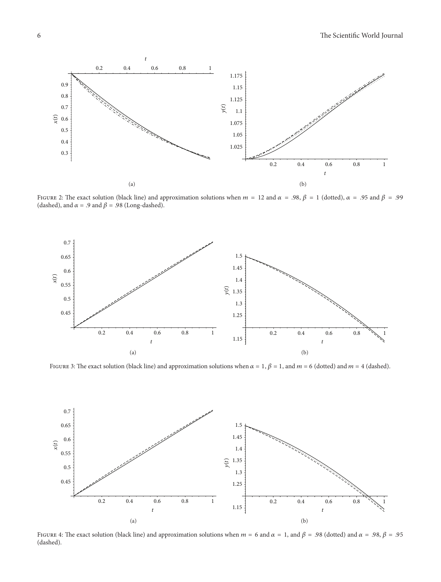





(dashed).